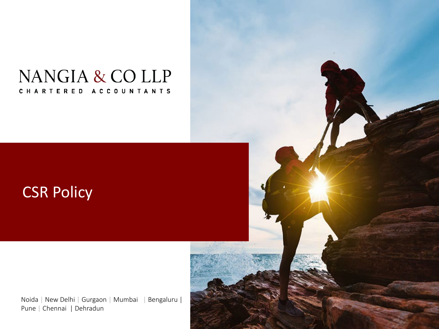## NANGIA & CO LLP CHARTERED ACCOUNTANTS

## CSR Policy

Noida | New Delhi | Gurgaon | Mumbai | Bengaluru | Pune | Chennai | Dehradun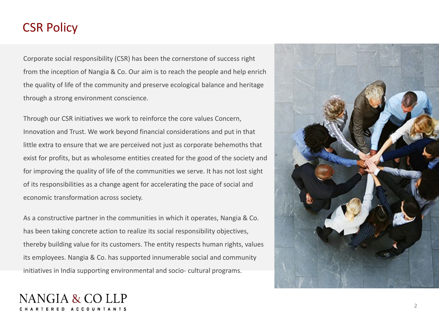## CSR Policy

Corporate social responsibility (CSR) has been the cornerstone of success right from the inception of Nangia & Co. Our aim is to reach the people and help enrich the quality of life of the community and preserve ecological balance and heritage through a strong environment conscience.

Through our CSR initiatives we work to reinforce the core values Concern, Innovation and Trust. We work beyond financial considerations and put in that little extra to ensure that we are perceived not just as corporate behemoths that exist for profits, but as wholesome entities created for the good of the society and for improving the quality of life of the communities we serve. It has not lost sight of its responsibilities as a change agent for accelerating the pace of social and economic transformation across society.

As a constructive partner in the communities in which it operates, Nangia & Co. has been taking concrete action to realize its social responsibility objectives, thereby building value for its customers. The entity respects human rights, values its employees. Nangia & Co. has supported innumerable social and community initiatives in India supporting environmental and socio- cultural programs.

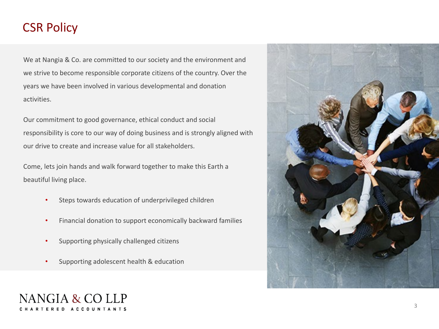## CSR Policy

We at Nangia & Co. are committed to our society and the environment and we strive to become responsible corporate citizens of the country. Over the years we have been involved in various developmental and donation activities.

Our commitment to good governance, ethical conduct and social responsibility is core to our way of doing business and is strongly aligned with our drive to create and increase value for all stakeholders.

Come, lets join hands and walk forward together to make this Earth a beautiful living place.

- Steps towards education of underprivileged children
- Financial donation to support economically backward families
- Supporting physically challenged citizens
- Supporting adolescent health & education



# NANGIA & CO LLP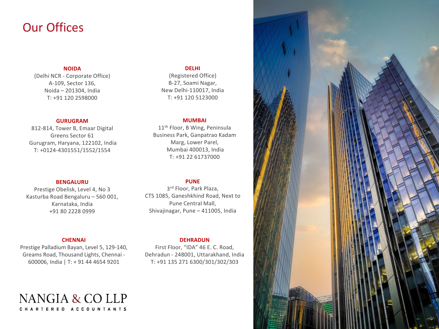### Our Offices

#### **NOIDA**

(Delhi NCR - Corporate Office) A-109, Sector 136, Noida – 201304, India T: +91 120 2598000

#### **GURUGRAM**

812-814, Tower B, Emaar Digital Greens Sector 61 Gurugram, Haryana, 122102, India T: +0124-4301551/1552/1554

#### **BENGALURU**

Prestige Obelisk, Level 4, No 3 Kasturba Road Bengaluru – 560 001, Karnataka, India +91 80 2228 0999

#### **CHENNAI**

Prestige Palladium Bayan, Level 5, 129-140, Greams Road, Thousand Lights, Chennai - 600006, India | T: + 91 44 4654 9201

NANGIA & COLLP CHARTERED ACCOUNTANTS

#### **DELHI**

(Registered Office) B-27, Soami Nagar, New Delhi-110017, India T: +91 120 5123000

#### **MUMBAI**

11<sup>th</sup> Floor, B Wing, Peninsula Business Park, Ganpatrao Kadam Marg, Lower Parel, Mumbai 400013, India T: +91 22 61737000

#### **PUNE**

3rd Floor, Park Plaza, CTS 1085, Ganeshkhind Road, Next to Pune Central Mall, Shivajinagar, Pune – 411005, India

#### **DEHRADUN**

First Floor, "IDA" 46 E. C. Road, Dehradun - 248001, Uttarakhand, India T: +91 135 271 6300/301/302/303